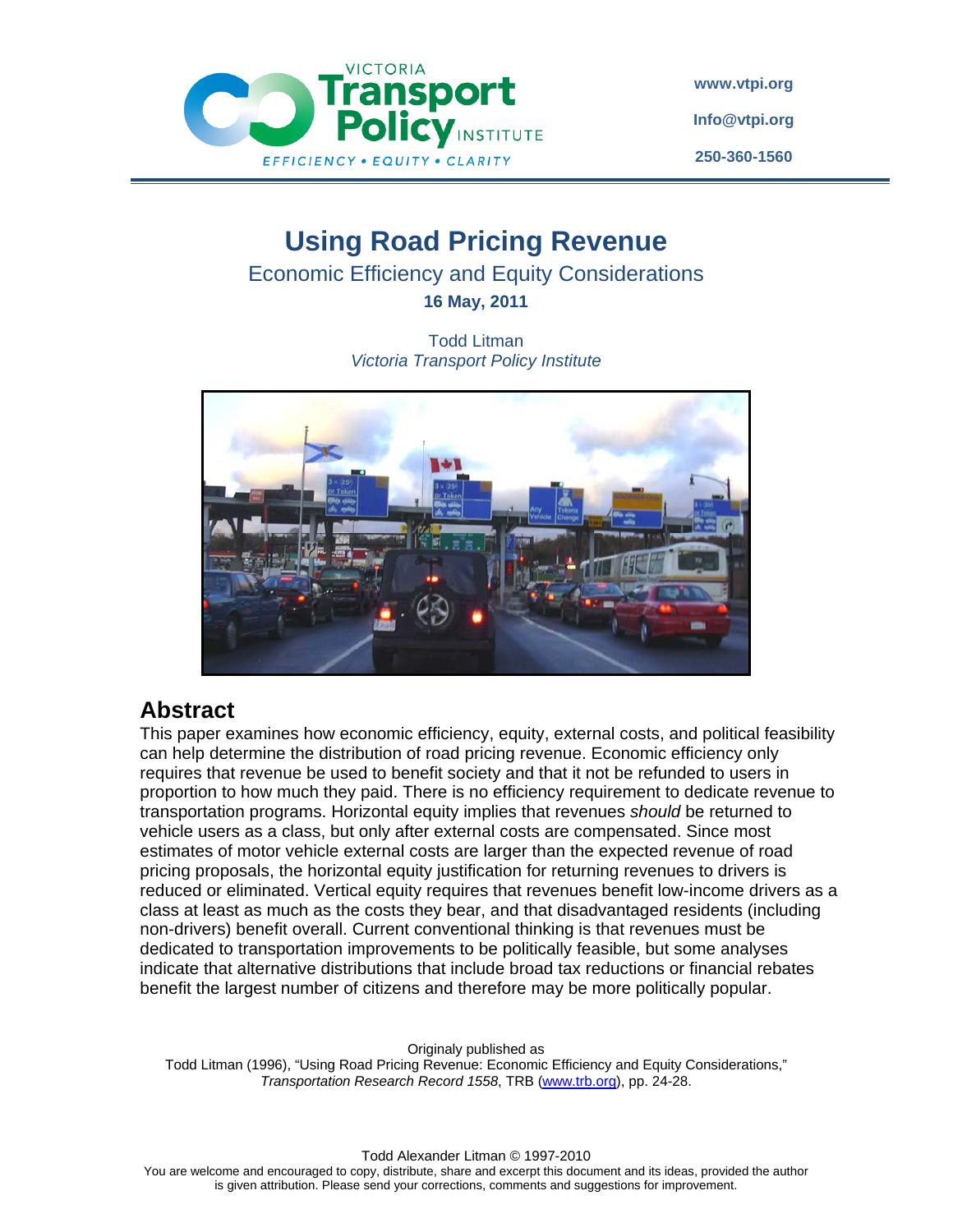

**www.vtpi.org Info@vtpi.org 250-360-1560**

# **Using Road Pricing Revenue**

Economic Efficiency and Equity Considerations

**16 May, 2011** 

Todd Litman *Victoria Transport Policy Institute* 



# **Abstract**

This paper examines how economic efficiency, equity, external costs, and political feasibility can help determine the distribution of road pricing revenue. Economic efficiency only requires that revenue be used to benefit society and that it not be refunded to users in proportion to how much they paid. There is no efficiency requirement to dedicate revenue to transportation programs. Horizontal equity implies that revenues *should* be returned to vehicle users as a class, but only after external costs are compensated. Since most estimates of motor vehicle external costs are larger than the expected revenue of road pricing proposals, the horizontal equity justification for returning revenues to drivers is reduced or eliminated. Vertical equity requires that revenues benefit low-income drivers as a class at least as much as the costs they bear, and that disadvantaged residents (including non-drivers) benefit overall. Current conventional thinking is that revenues must be dedicated to transportation improvements to be politically feasible, but some analyses indicate that alternative distributions that include broad tax reductions or financial rebates benefit the largest number of citizens and therefore may be more politically popular.

Originaly published as

Todd Litman (1996), "Using Road Pricing Revenue: Economic Efficiency and Equity Considerations," *Transportation Research Record 1558*, TRB (www.trb.org), pp. 24-28.

Todd Alexander Litman © 1997-2010

You are welcome and encouraged to copy, distribute, share and excerpt this document and its ideas, provided the author is given attribution. Please send your corrections, comments and suggestions for improvement.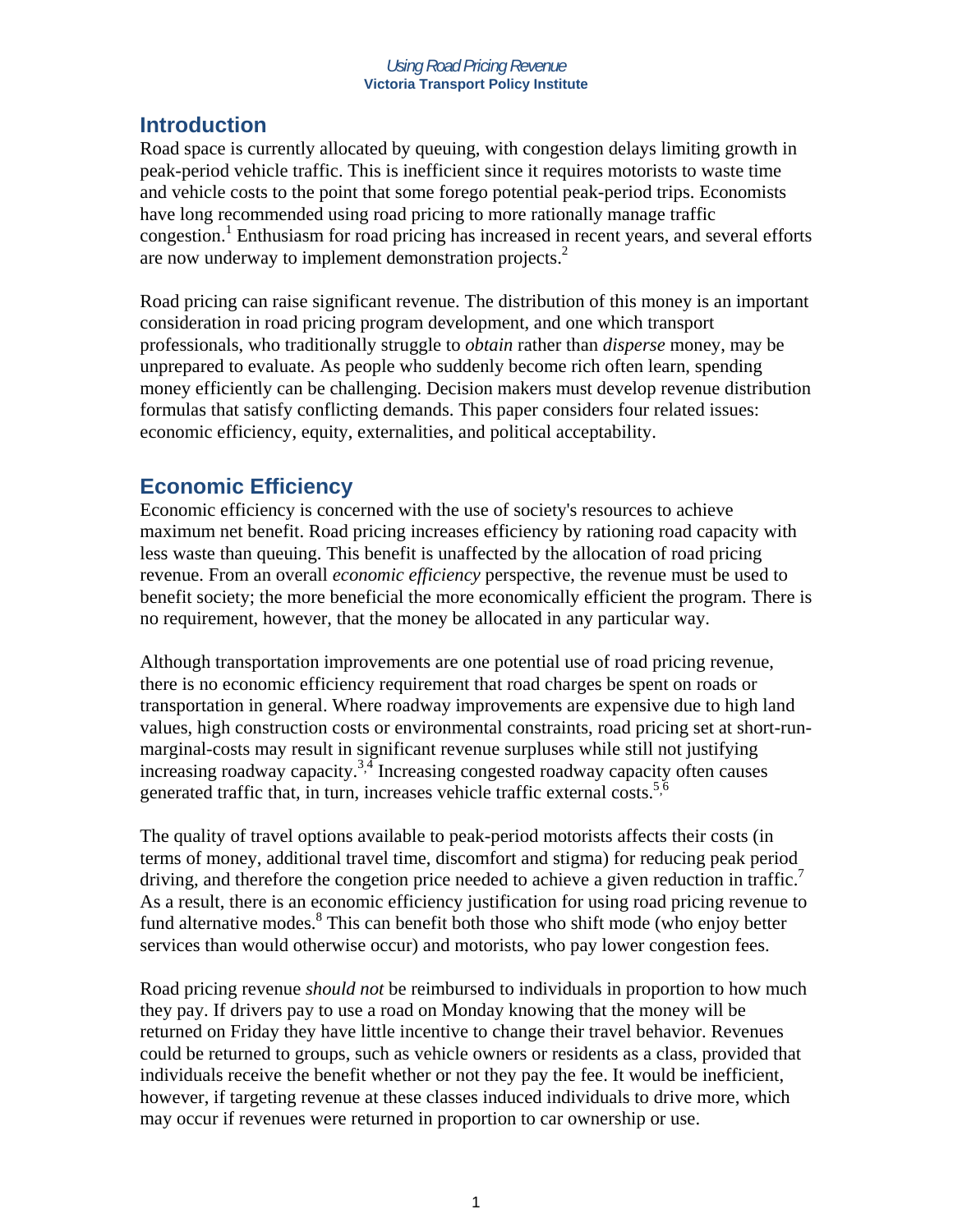## **Introduction**

Road space is currently allocated by queuing, with congestion delays limiting growth in peak-period vehicle traffic. This is inefficient since it requires motorists to waste time and vehicle costs to the point that some forego potential peak-period trips. Economists have long recommended using road pricing to more rationally manage traffic congestion.<sup>1</sup> Enthusiasm for road pricing has increased in recent years, and several efforts are now underway to implement demonstration projects.<sup>2</sup>

Road pricing can raise significant revenue. The distribution of this money is an important consideration in road pricing program development, and one which transport professionals, who traditionally struggle to *obtain* rather than *disperse* money, may be unprepared to evaluate. As people who suddenly become rich often learn, spending money efficiently can be challenging. Decision makers must develop revenue distribution formulas that satisfy conflicting demands. This paper considers four related issues: economic efficiency, equity, externalities, and political acceptability.

# **Economic Efficiency**

Economic efficiency is concerned with the use of society's resources to achieve maximum net benefit. Road pricing increases efficiency by rationing road capacity with less waste than queuing. This benefit is unaffected by the allocation of road pricing revenue. From an overall *economic efficiency* perspective, the revenue must be used to benefit society; the more beneficial the more economically efficient the program. There is no requirement, however, that the money be allocated in any particular way.

Although transportation improvements are one potential use of road pricing revenue, there is no economic efficiency requirement that road charges be spent on roads or transportation in general. Where roadway improvements are expensive due to high land values, high construction costs or environmental constraints, road pricing set at short-runmarginal-costs may result in significant revenue surpluses while still not justifying increasing roadway capacity.<sup>3,4</sup> Increasing congested roadway capacity often causes generated traffic that, in turn, increases vehicle traffic external costs.<sup>5,6</sup>

The quality of travel options available to peak-period motorists affects their costs (in terms of money, additional travel time, discomfort and stigma) for reducing peak period driving, and therefore the congetion price needed to achieve a given reduction in traffic.<sup>7</sup> As a result, there is an economic efficiency justification for using road pricing revenue to fund alternative modes.<sup>8</sup> This can benefit both those who shift mode (who enjoy better services than would otherwise occur) and motorists, who pay lower congestion fees.

Road pricing revenue *should not* be reimbursed to individuals in proportion to how much they pay. If drivers pay to use a road on Monday knowing that the money will be returned on Friday they have little incentive to change their travel behavior. Revenues could be returned to groups, such as vehicle owners or residents as a class, provided that individuals receive the benefit whether or not they pay the fee. It would be inefficient, however, if targeting revenue at these classes induced individuals to drive more, which may occur if revenues were returned in proportion to car ownership or use.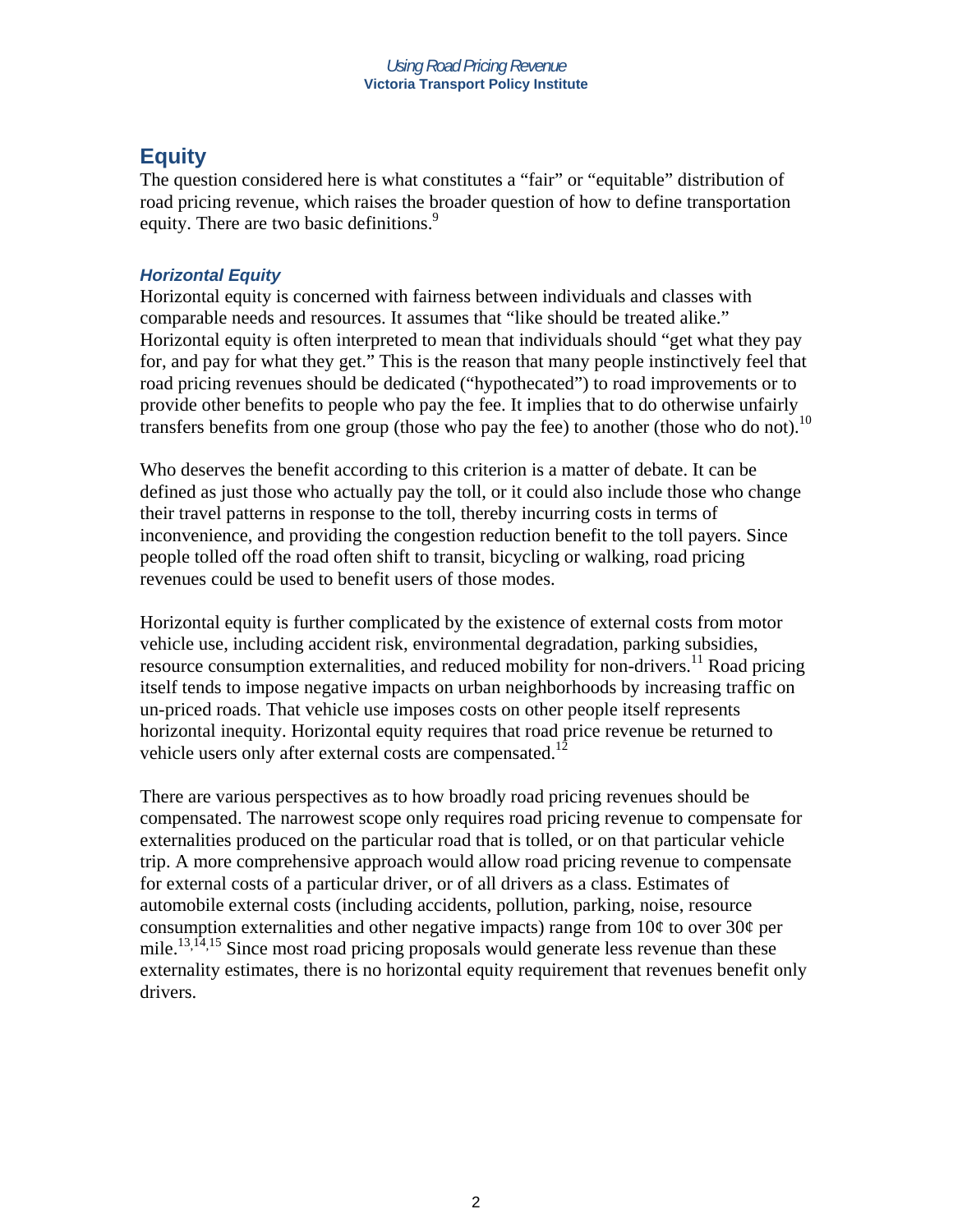# **Equity**

The question considered here is what constitutes a "fair" or "equitable" distribution of road pricing revenue, which raises the broader question of how to define transportation equity. There are two basic definitions.<sup>9</sup>

### *Horizontal Equity*

Horizontal equity is concerned with fairness between individuals and classes with comparable needs and resources. It assumes that "like should be treated alike." Horizontal equity is often interpreted to mean that individuals should "get what they pay for, and pay for what they get." This is the reason that many people instinctively feel that road pricing revenues should be dedicated ("hypothecated") to road improvements or to provide other benefits to people who pay the fee. It implies that to do otherwise unfairly transfers benefits from one group (those who pay the fee) to another (those who do not).<sup>10</sup>

Who deserves the benefit according to this criterion is a matter of debate. It can be defined as just those who actually pay the toll, or it could also include those who change their travel patterns in response to the toll, thereby incurring costs in terms of inconvenience, and providing the congestion reduction benefit to the toll payers. Since people tolled off the road often shift to transit, bicycling or walking, road pricing revenues could be used to benefit users of those modes.

Horizontal equity is further complicated by the existence of external costs from motor vehicle use, including accident risk, environmental degradation, parking subsidies, resource consumption externalities, and reduced mobility for non-drivers.<sup>11</sup> Road pricing itself tends to impose negative impacts on urban neighborhoods by increasing traffic on un-priced roads. That vehicle use imposes costs on other people itself represents horizontal inequity. Horizontal equity requires that road price revenue be returned to vehicle users only after external costs are compensated.<sup>12</sup>

There are various perspectives as to how broadly road pricing revenues should be compensated. The narrowest scope only requires road pricing revenue to compensate for externalities produced on the particular road that is tolled, or on that particular vehicle trip. A more comprehensive approach would allow road pricing revenue to compensate for external costs of a particular driver, or of all drivers as a class. Estimates of automobile external costs (including accidents, pollution, parking, noise, resource consumption externalities and other negative impacts) range from  $10¢$  to over  $30¢$  per mile.<sup>13, 14, 15</sup> Since most road pricing proposals would generate less revenue than these externality estimates, there is no horizontal equity requirement that revenues benefit only drivers.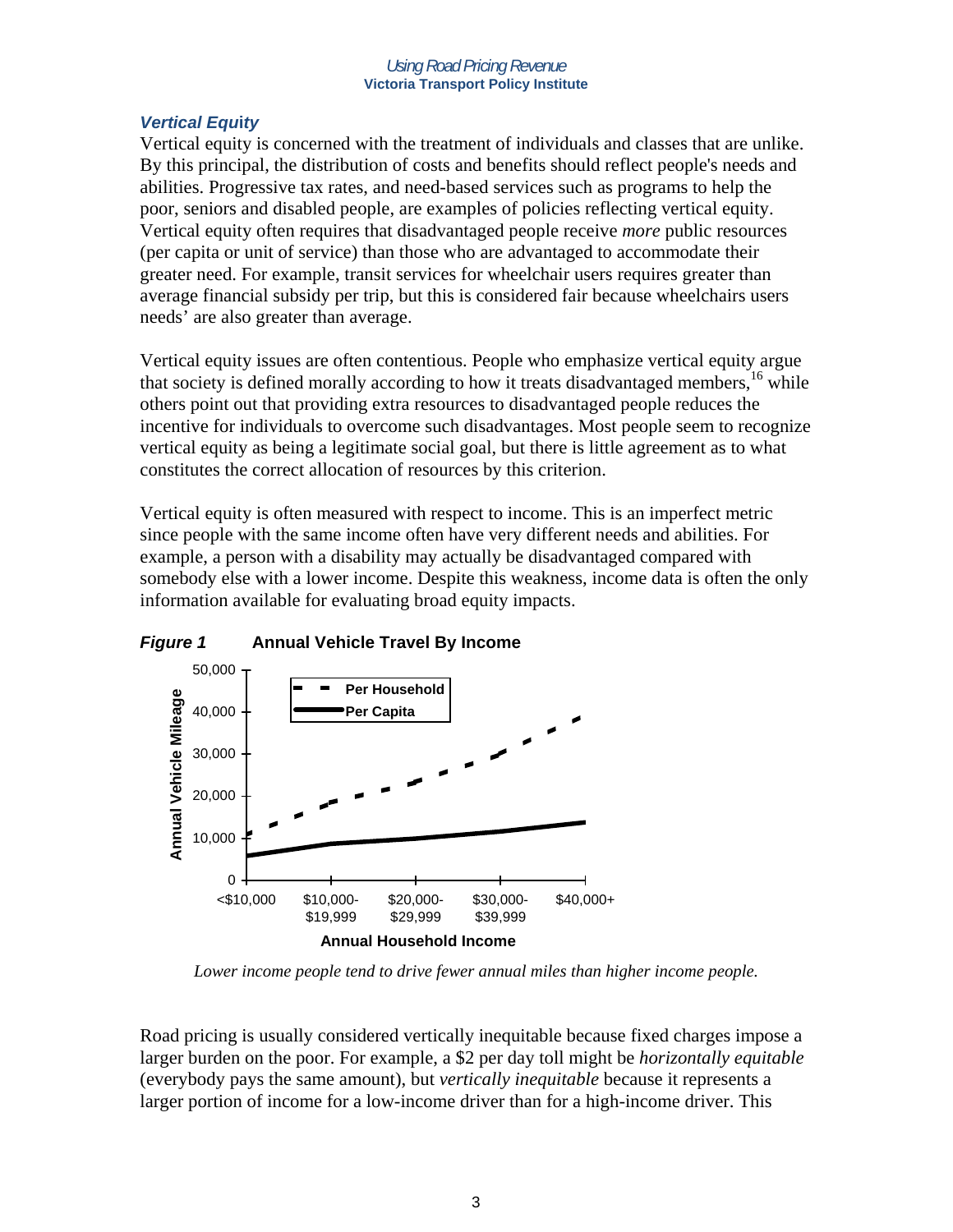### *Vertical Equ***i***ty*

Vertical equity is concerned with the treatment of individuals and classes that are unlike. By this principal, the distribution of costs and benefits should reflect people's needs and abilities. Progressive tax rates, and need-based services such as programs to help the poor, seniors and disabled people, are examples of policies reflecting vertical equity. Vertical equity often requires that disadvantaged people receive *more* public resources (per capita or unit of service) than those who are advantaged to accommodate their greater need. For example, transit services for wheelchair users requires greater than average financial subsidy per trip, but this is considered fair because wheelchairs users needs' are also greater than average.

Vertical equity issues are often contentious. People who emphasize vertical equity argue that society is defined morally according to how it treats disadvantaged members,  $16$  while others point out that providing extra resources to disadvantaged people reduces the incentive for individuals to overcome such disadvantages. Most people seem to recognize vertical equity as being a legitimate social goal, but there is little agreement as to what constitutes the correct allocation of resources by this criterion.

Vertical equity is often measured with respect to income. This is an imperfect metric since people with the same income often have very different needs and abilities. For example, a person with a disability may actually be disadvantaged compared with somebody else with a lower income. Despite this weakness, income data is often the only information available for evaluating broad equity impacts.



*Figure 1* **Annual Vehicle Travel By Income** 

*Lower income people tend to drive fewer annual miles than higher income people.* 

Road pricing is usually considered vertically inequitable because fixed charges impose a larger burden on the poor. For example, a \$2 per day toll might be *horizontally equitable* (everybody pays the same amount), but *vertically inequitable* because it represents a larger portion of income for a low-income driver than for a high-income driver. This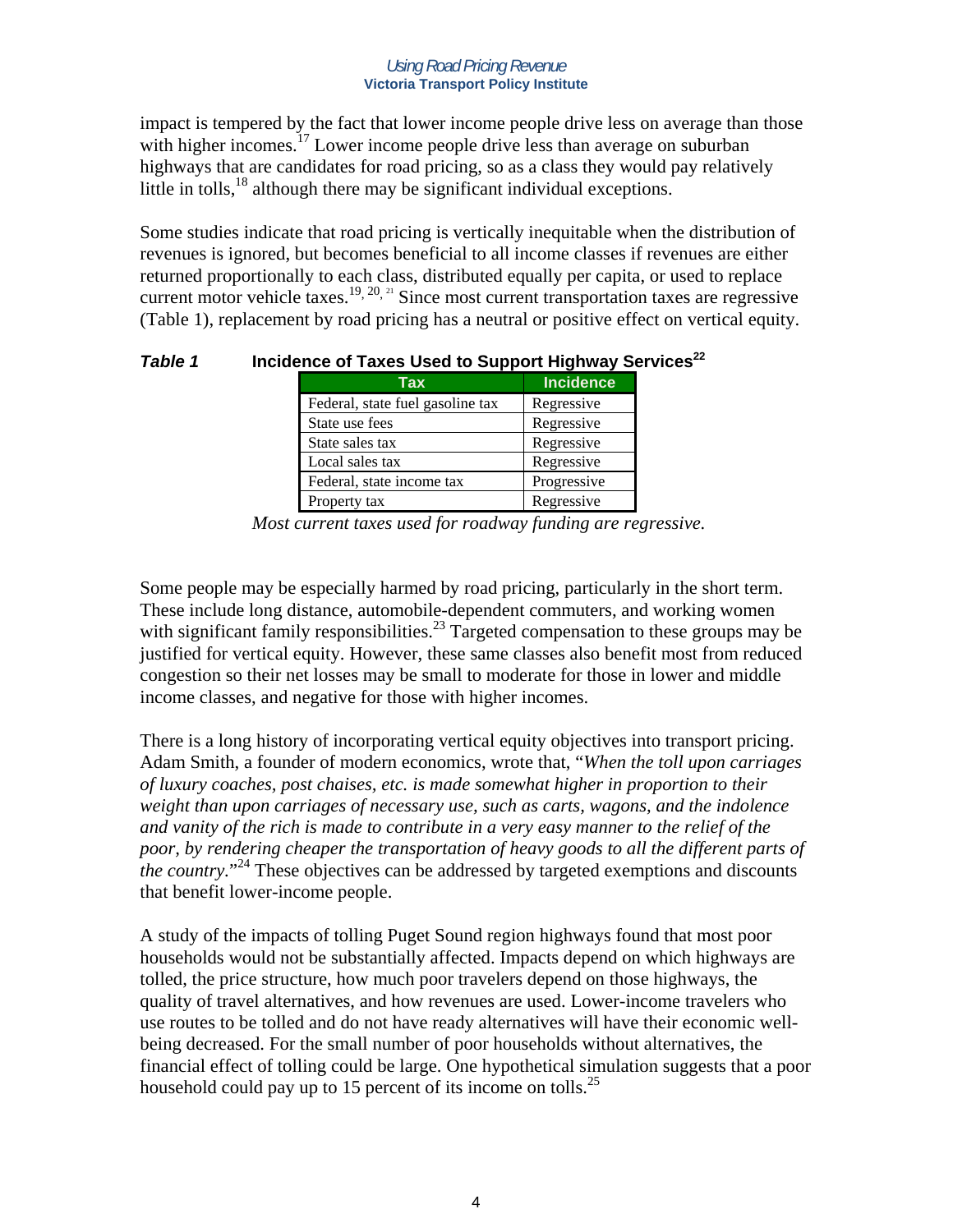impact is tempered by the fact that lower income people drive less on average than those with higher incomes.<sup>17</sup> Lower income people drive less than average on suburban highways that are candidates for road pricing, so as a class they would pay relatively little in tolls,  $^{18}$  although there may be significant individual exceptions.

Some studies indicate that road pricing is vertically inequitable when the distribution of revenues is ignored, but becomes beneficial to all income classes if revenues are either returned proportionally to each class, distributed equally per capita, or used to replace current motor vehicle taxes.<sup>19, 20, 21</sup> Since most current transportation taxes are regressive (Table 1), replacement by road pricing has a neutral or positive effect on vertical equity.

| Tax                              | <b>Incidence</b> |
|----------------------------------|------------------|
| Federal, state fuel gasoline tax | Regressive       |
| State use fees                   | Regressive       |
| State sales tax                  | Regressive       |
| Local sales tax                  | Regressive       |
| Federal, state income tax        | Progressive      |
| Property tax                     | Regressive       |

*Table 1* **Incidence of Taxes Used to Support Highway Services**<sup>22</sup>

Some people may be especially harmed by road pricing, particularly in the short term. These include long distance, automobile-dependent commuters, and working women with significant family responsibilities.<sup>23</sup> Targeted compensation to these groups may be justified for vertical equity. However, these same classes also benefit most from reduced congestion so their net losses may be small to moderate for those in lower and middle income classes, and negative for those with higher incomes.

There is a long history of incorporating vertical equity objectives into transport pricing. Adam Smith, a founder of modern economics, wrote that, "*When the toll upon carriages of luxury coaches, post chaises, etc. is made somewhat higher in proportion to their weight than upon carriages of necessary use, such as carts, wagons, and the indolence and vanity of the rich is made to contribute in a very easy manner to the relief of the poor, by rendering cheaper the transportation of heavy goods to all the different parts of the country.*" 24 These objectives can be addressed by targeted exemptions and discounts that benefit lower-income people.

A study of the impacts of tolling Puget Sound region highways found that most poor households would not be substantially affected. Impacts depend on which highways are tolled, the price structure, how much poor travelers depend on those highways, the quality of travel alternatives, and how revenues are used. Lower-income travelers who use routes to be tolled and do not have ready alternatives will have their economic wellbeing decreased. For the small number of poor households without alternatives, the financial effect of tolling could be large. One hypothetical simulation suggests that a poor household could pay up to 15 percent of its income on tolls.<sup>25</sup>

*Most current taxes used for roadway funding are regressive.*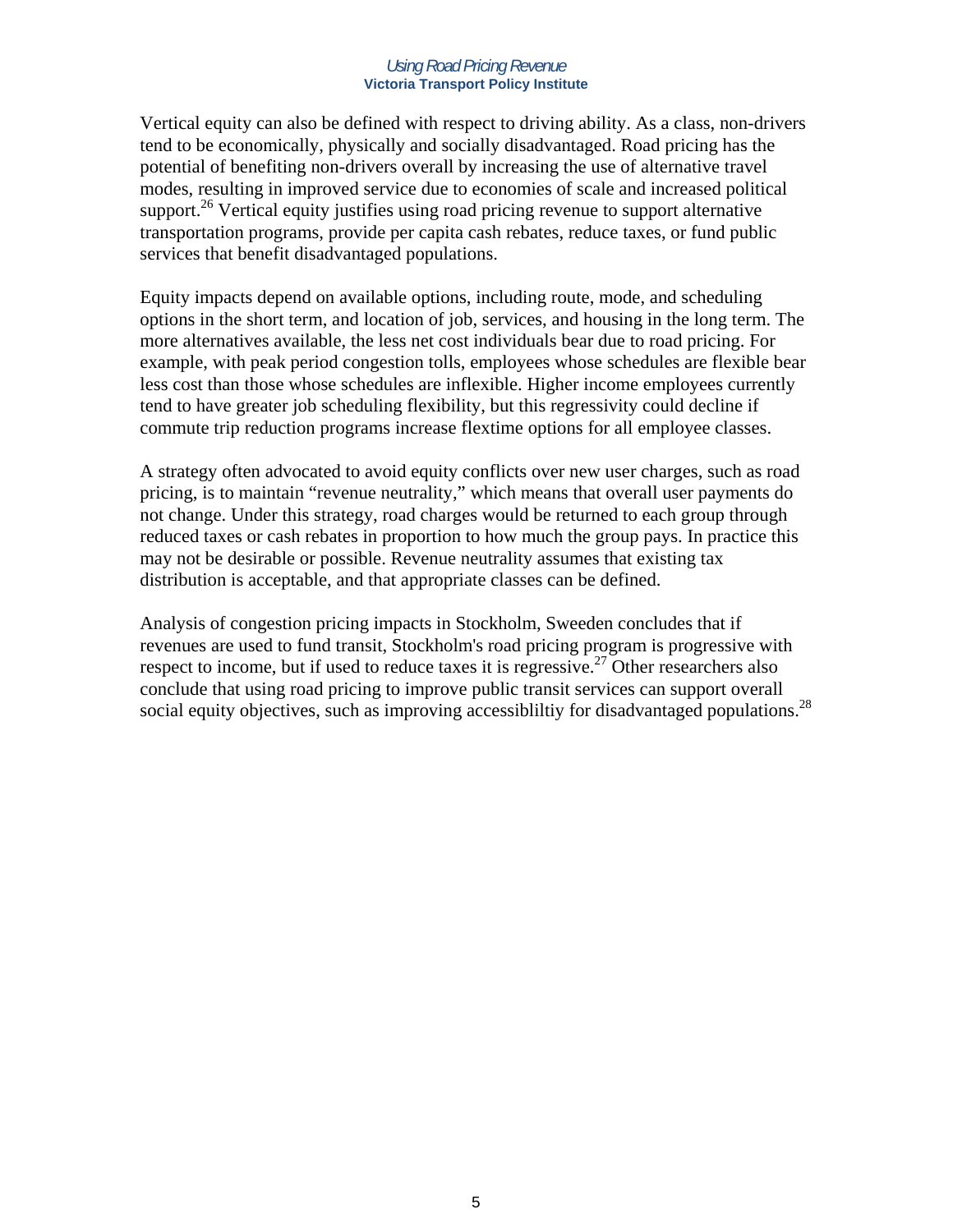Vertical equity can also be defined with respect to driving ability. As a class, non-drivers tend to be economically, physically and socially disadvantaged. Road pricing has the potential of benefiting non-drivers overall by increasing the use of alternative travel modes, resulting in improved service due to economies of scale and increased political support.<sup>26</sup> Vertical equity justifies using road pricing revenue to support alternative transportation programs, provide per capita cash rebates, reduce taxes, or fund public services that benefit disadvantaged populations.

Equity impacts depend on available options, including route, mode, and scheduling options in the short term, and location of job, services, and housing in the long term. The more alternatives available, the less net cost individuals bear due to road pricing. For example, with peak period congestion tolls, employees whose schedules are flexible bear less cost than those whose schedules are inflexible. Higher income employees currently tend to have greater job scheduling flexibility, but this regressivity could decline if commute trip reduction programs increase flextime options for all employee classes.

A strategy often advocated to avoid equity conflicts over new user charges, such as road pricing, is to maintain "revenue neutrality," which means that overall user payments do not change. Under this strategy, road charges would be returned to each group through reduced taxes or cash rebates in proportion to how much the group pays. In practice this may not be desirable or possible. Revenue neutrality assumes that existing tax distribution is acceptable, and that appropriate classes can be defined.

Analysis of congestion pricing impacts in Stockholm, Sweeden concludes that if revenues are used to fund transit, Stockholm's road pricing program is progressive with respect to income, but if used to reduce taxes it is regressive.<sup>27</sup> Other researchers also conclude that using road pricing to improve public transit services can support overall social equity objectives, such as improving accessibility for disadvantaged populations.<sup>28</sup>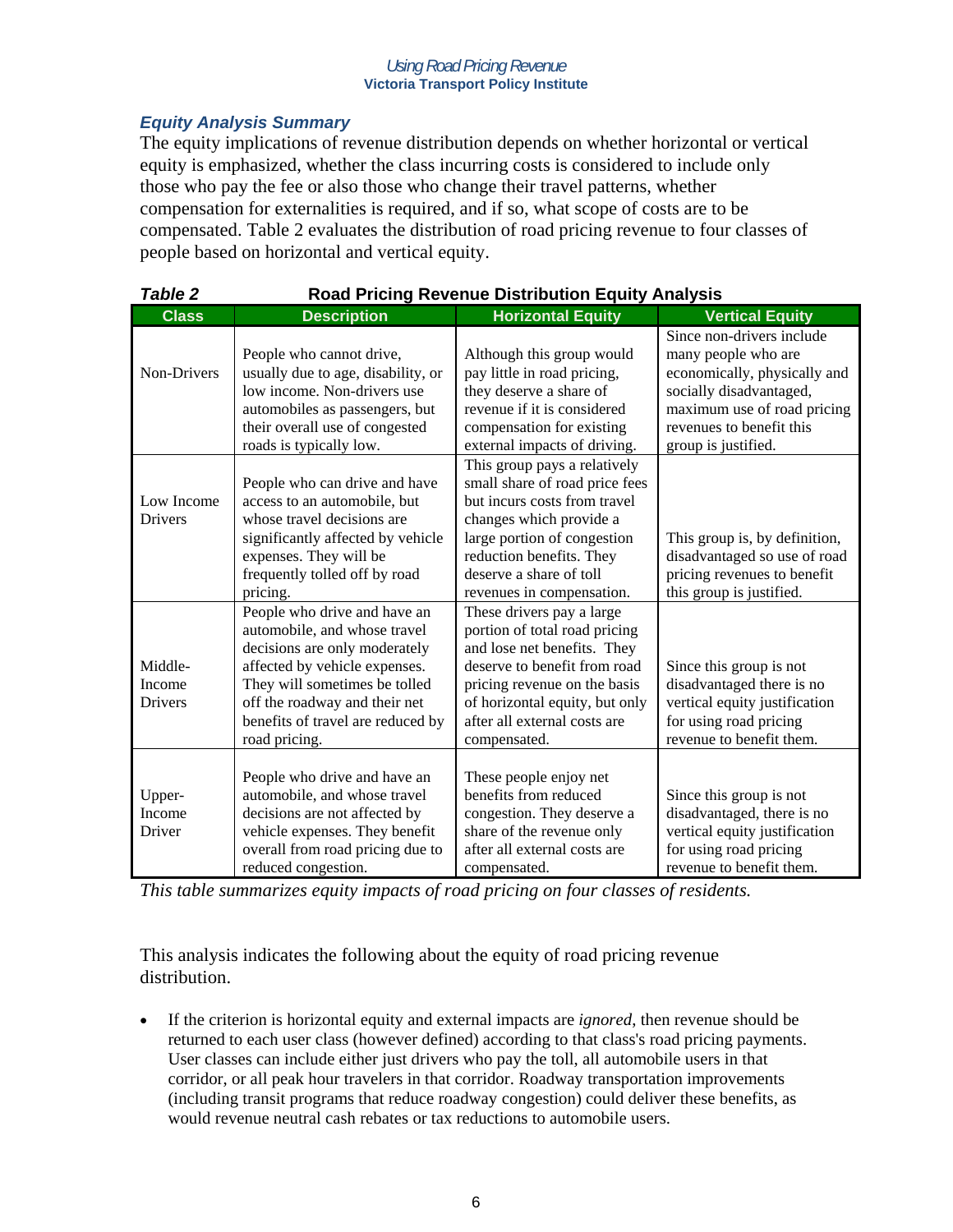### *Equity Analysis Summary*

The equity implications of revenue distribution depends on whether horizontal or vertical equity is emphasized, whether the class incurring costs is considered to include only those who pay the fee or also those who change their travel patterns, whether compensation for externalities is required, and if so, what scope of costs are to be compensated. Table 2 evaluates the distribution of road pricing revenue to four classes of people based on horizontal and vertical equity.

| <b>Table 2</b>                      | <b>Road Pricing Revenue Distribution Equity Analysis</b>                                                                                                                                                                                               |                                                                                                                                                                                                                                              |                                                                                                                                                                                               |  |
|-------------------------------------|--------------------------------------------------------------------------------------------------------------------------------------------------------------------------------------------------------------------------------------------------------|----------------------------------------------------------------------------------------------------------------------------------------------------------------------------------------------------------------------------------------------|-----------------------------------------------------------------------------------------------------------------------------------------------------------------------------------------------|--|
| <b>Class</b>                        | <b>Description</b>                                                                                                                                                                                                                                     | <b>Horizontal Equity</b>                                                                                                                                                                                                                     | <b>Vertical Equity</b>                                                                                                                                                                        |  |
| Non-Drivers                         | People who cannot drive,<br>usually due to age, disability, or<br>low income. Non-drivers use<br>automobiles as passengers, but<br>their overall use of congested<br>roads is typically low.                                                           | Although this group would<br>pay little in road pricing,<br>they deserve a share of<br>revenue if it is considered<br>compensation for existing<br>external impacts of driving.                                                              | Since non-drivers include<br>many people who are<br>economically, physically and<br>socially disadvantaged,<br>maximum use of road pricing<br>revenues to benefit this<br>group is justified. |  |
| Low Income<br><b>Drivers</b>        | People who can drive and have<br>access to an automobile, but<br>whose travel decisions are<br>significantly affected by vehicle<br>expenses. They will be<br>frequently tolled off by road<br>pricing.                                                | This group pays a relatively<br>small share of road price fees<br>but incurs costs from travel<br>changes which provide a<br>large portion of congestion<br>reduction benefits. They<br>deserve a share of toll<br>revenues in compensation. | This group is, by definition,<br>disadvantaged so use of road<br>pricing revenues to benefit<br>this group is justified.                                                                      |  |
| Middle-<br>Income<br><b>Drivers</b> | People who drive and have an<br>automobile, and whose travel<br>decisions are only moderately<br>affected by vehicle expenses.<br>They will sometimes be tolled<br>off the roadway and their net<br>benefits of travel are reduced by<br>road pricing. | These drivers pay a large<br>portion of total road pricing<br>and lose net benefits. They<br>deserve to benefit from road<br>pricing revenue on the basis<br>of horizontal equity, but only<br>after all external costs are<br>compensated.  | Since this group is not<br>disadvantaged there is no<br>vertical equity justification<br>for using road pricing<br>revenue to benefit them.                                                   |  |
| Upper-<br>Income<br>Driver          | People who drive and have an<br>automobile, and whose travel<br>decisions are not affected by<br>vehicle expenses. They benefit<br>overall from road pricing due to<br>reduced congestion.                                                             | These people enjoy net<br>benefits from reduced<br>congestion. They deserve a<br>share of the revenue only<br>after all external costs are<br>compensated.                                                                                   | Since this group is not<br>disadvantaged, there is no<br>vertical equity justification<br>for using road pricing<br>revenue to benefit them.                                                  |  |

*This table summarizes equity impacts of road pricing on four classes of residents.* 

This analysis indicates the following about the equity of road pricing revenue distribution.

• If the criterion is horizontal equity and external impacts are *ignored*, then revenue should be returned to each user class (however defined) according to that class's road pricing payments. User classes can include either just drivers who pay the toll, all automobile users in that corridor, or all peak hour travelers in that corridor. Roadway transportation improvements (including transit programs that reduce roadway congestion) could deliver these benefits, as would revenue neutral cash rebates or tax reductions to automobile users.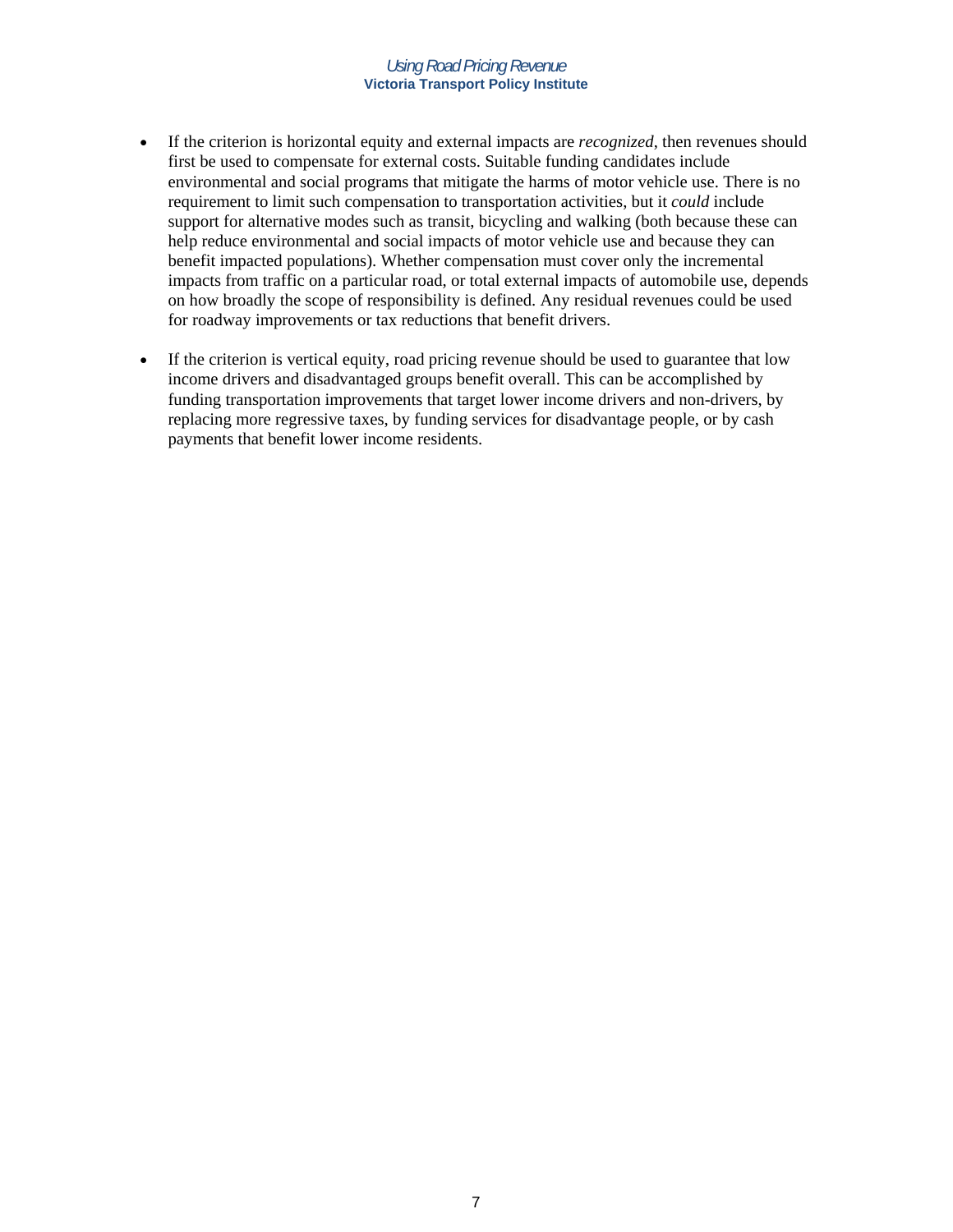- If the criterion is horizontal equity and external impacts are *recognized*, then revenues should first be used to compensate for external costs. Suitable funding candidates include environmental and social programs that mitigate the harms of motor vehicle use. There is no requirement to limit such compensation to transportation activities, but it *could* include support for alternative modes such as transit, bicycling and walking (both because these can help reduce environmental and social impacts of motor vehicle use and because they can benefit impacted populations). Whether compensation must cover only the incremental impacts from traffic on a particular road, or total external impacts of automobile use, depends on how broadly the scope of responsibility is defined. Any residual revenues could be used for roadway improvements or tax reductions that benefit drivers.
- If the criterion is vertical equity, road pricing revenue should be used to guarantee that low income drivers and disadvantaged groups benefit overall. This can be accomplished by funding transportation improvements that target lower income drivers and non-drivers, by replacing more regressive taxes, by funding services for disadvantage people, or by cash payments that benefit lower income residents.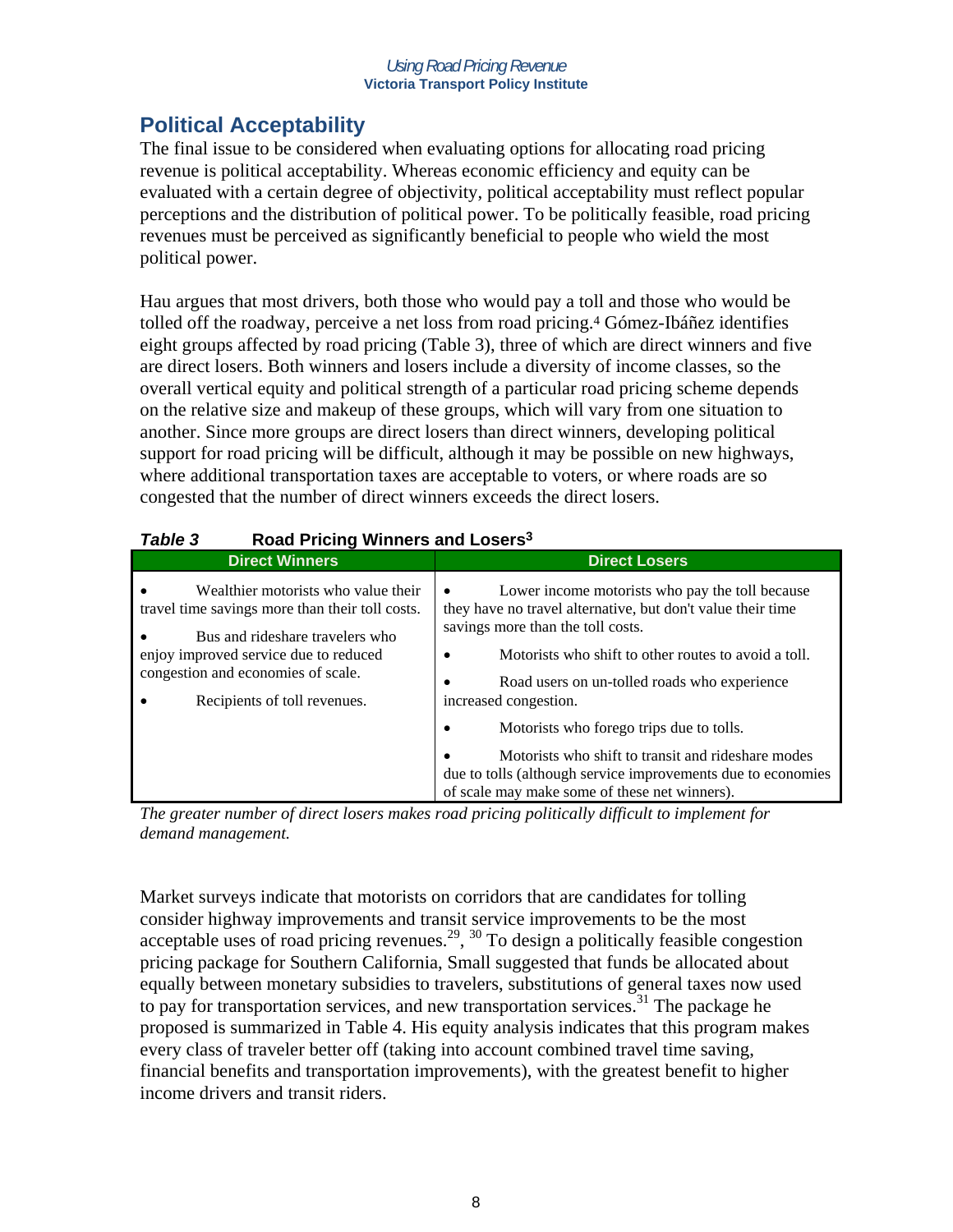# **Political Acceptability**

The final issue to be considered when evaluating options for allocating road pricing revenue is political acceptability. Whereas economic efficiency and equity can be evaluated with a certain degree of objectivity, political acceptability must reflect popular perceptions and the distribution of political power. To be politically feasible, road pricing revenues must be perceived as significantly beneficial to people who wield the most political power.

Hau argues that most drivers, both those who would pay a toll and those who would be tolled off the roadway, perceive a net loss from road pricing.4 Gómez-Ibáñez identifies eight groups affected by road pricing (Table 3), three of which are direct winners and five are direct losers. Both winners and losers include a diversity of income classes, so the overall vertical equity and political strength of a particular road pricing scheme depends on the relative size and makeup of these groups, which will vary from one situation to another. Since more groups are direct losers than direct winners, developing political support for road pricing will be difficult, although it may be possible on new highways, where additional transportation taxes are acceptable to voters, or where roads are so congested that the number of direct winners exceeds the direct losers.

| Table 3<br>Road Pricing Winners and Losers <sup>3</sup>                                                                                                                                                                                  |                                                                                                                                                                                                                                                                                                                                            |  |  |  |
|------------------------------------------------------------------------------------------------------------------------------------------------------------------------------------------------------------------------------------------|--------------------------------------------------------------------------------------------------------------------------------------------------------------------------------------------------------------------------------------------------------------------------------------------------------------------------------------------|--|--|--|
| <b>Direct Winners</b>                                                                                                                                                                                                                    | <b>Direct Losers</b>                                                                                                                                                                                                                                                                                                                       |  |  |  |
| Wealthier motorists who value their<br>travel time savings more than their toll costs.<br>Bus and rideshare travelers who<br>enjoy improved service due to reduced<br>congestion and economies of scale.<br>Recipients of toll revenues. | Lower income motorists who pay the toll because<br>they have no travel alternative, but don't value their time<br>savings more than the toll costs.<br>Motorists who shift to other routes to avoid a toll.<br>Road users on un-tolled roads who experience<br>٠<br>increased congestion.<br>Motorists who forego trips due to tolls.<br>٠ |  |  |  |
|                                                                                                                                                                                                                                          | Motorists who shift to transit and rideshare modes<br>due to tolls (although service improvements due to economies<br>of scale may make some of these net winners).                                                                                                                                                                        |  |  |  |

### *Table 3* **Road Pricing Winners and Losers3**

*The greater number of direct losers makes road pricing politically difficult to implement for demand management.* 

Market surveys indicate that motorists on corridors that are candidates for tolling consider highway improvements and transit service improvements to be the most acceptable uses of road pricing revenues.<sup>29</sup>,  $30$  To design a politically feasible congestion pricing package for Southern California, Small suggested that funds be allocated about equally between monetary subsidies to travelers, substitutions of general taxes now used to pay for transportation services, and new transportation services.<sup>31</sup> The package he proposed is summarized in Table 4. His equity analysis indicates that this program makes every class of traveler better off (taking into account combined travel time saving, financial benefits and transportation improvements), with the greatest benefit to higher income drivers and transit riders.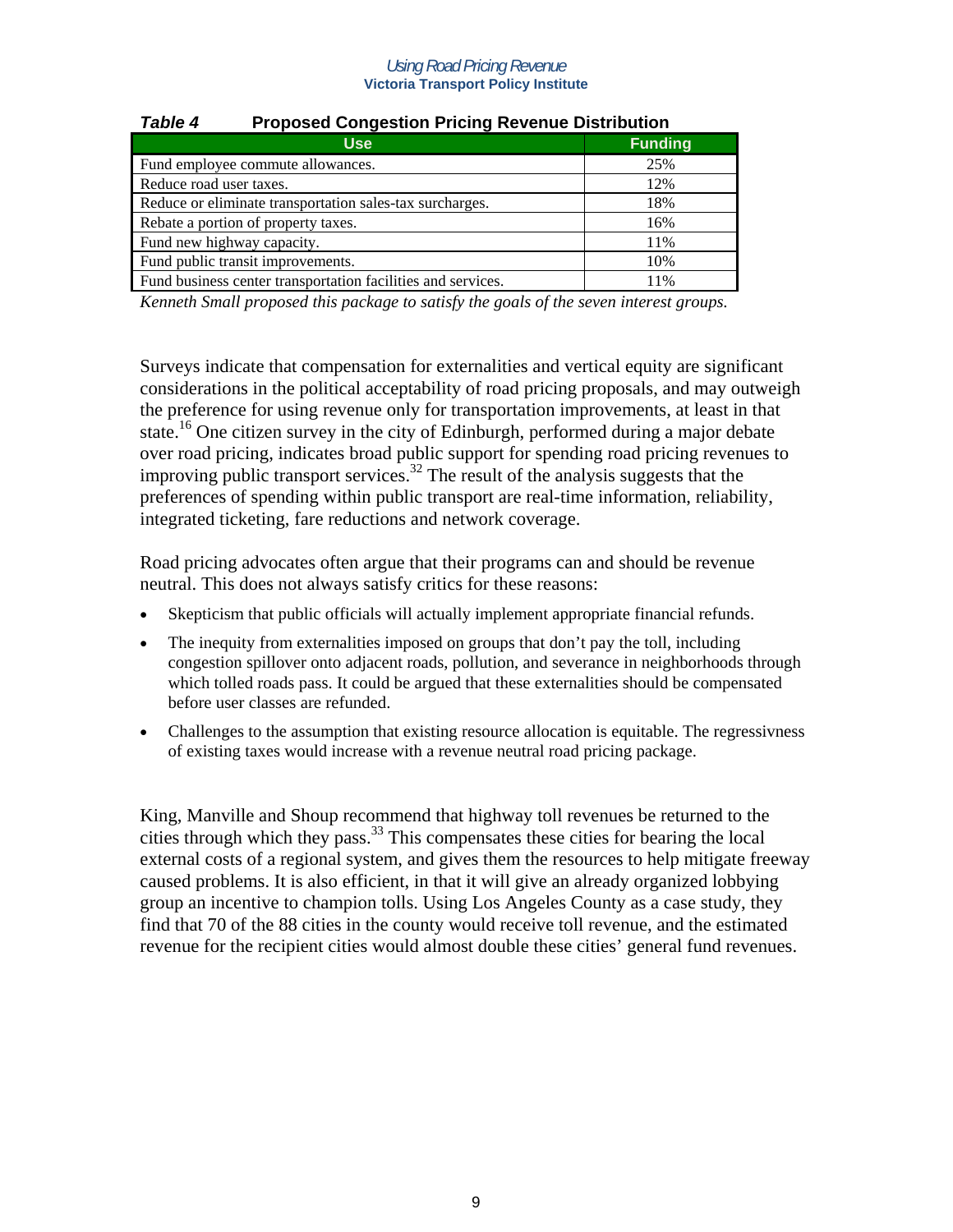| Table 4<br>Proposed Congestion Pricing Revenue Distribution  |                |  |
|--------------------------------------------------------------|----------------|--|
| <b>Use</b>                                                   | <b>Funding</b> |  |
| Fund employee commute allowances.                            | 25%            |  |
| Reduce road user taxes.                                      | 12%            |  |
| Reduce or eliminate transportation sales-tax surcharges.     | 18%            |  |
| Rebate a portion of property taxes.                          | 16%            |  |
| Fund new highway capacity.                                   | 11%            |  |
| Fund public transit improvements.                            | 10%            |  |
| Fund business center transportation facilities and services. | 11%            |  |

### *Table 4* **Proposed Congestion Pricing Revenue Distribution**

*Kenneth Small proposed this package to satisfy the goals of the seven interest groups.* 

Surveys indicate that compensation for externalities and vertical equity are significant considerations in the political acceptability of road pricing proposals, and may outweigh the preference for using revenue only for transportation improvements, at least in that state.<sup>16</sup> One citizen survey in the city of Edinburgh, performed during a major debate over road pricing, indicates broad public support for spending road pricing revenues to improving public transport services.<sup>32</sup> The result of the analysis suggests that the preferences of spending within public transport are real-time information, reliability, integrated ticketing, fare reductions and network coverage.

Road pricing advocates often argue that their programs can and should be revenue neutral. This does not always satisfy critics for these reasons:

- Skepticism that public officials will actually implement appropriate financial refunds.
- The inequity from externalities imposed on groups that don't pay the toll, including congestion spillover onto adjacent roads, pollution, and severance in neighborhoods through which tolled roads pass. It could be argued that these externalities should be compensated before user classes are refunded.
- Challenges to the assumption that existing resource allocation is equitable. The regressivness of existing taxes would increase with a revenue neutral road pricing package.

King, Manville and Shoup recommend that highway toll revenues be returned to the cities through which they pass.33 This compensates these cities for bearing the local external costs of a regional system, and gives them the resources to help mitigate freeway caused problems. It is also efficient, in that it will give an already organized lobbying group an incentive to champion tolls. Using Los Angeles County as a case study, they find that 70 of the 88 cities in the county would receive toll revenue, and the estimated revenue for the recipient cities would almost double these cities' general fund revenues.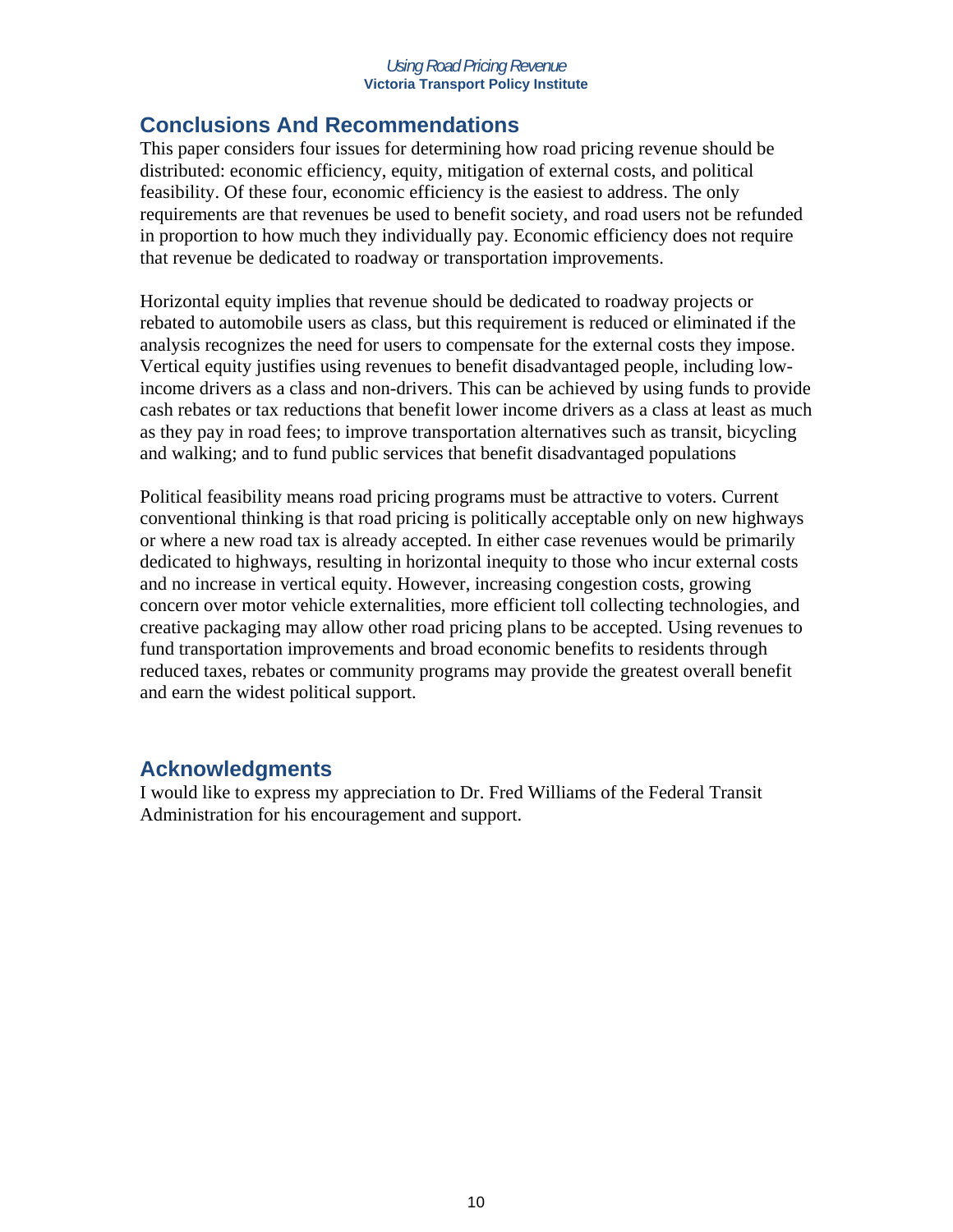# **Conclusions And Recommendations**

This paper considers four issues for determining how road pricing revenue should be distributed: economic efficiency, equity, mitigation of external costs, and political feasibility. Of these four, economic efficiency is the easiest to address. The only requirements are that revenues be used to benefit society, and road users not be refunded in proportion to how much they individually pay. Economic efficiency does not require that revenue be dedicated to roadway or transportation improvements.

Horizontal equity implies that revenue should be dedicated to roadway projects or rebated to automobile users as class, but this requirement is reduced or eliminated if the analysis recognizes the need for users to compensate for the external costs they impose. Vertical equity justifies using revenues to benefit disadvantaged people, including lowincome drivers as a class and non-drivers. This can be achieved by using funds to provide cash rebates or tax reductions that benefit lower income drivers as a class at least as much as they pay in road fees; to improve transportation alternatives such as transit, bicycling and walking; and to fund public services that benefit disadvantaged populations

Political feasibility means road pricing programs must be attractive to voters. Current conventional thinking is that road pricing is politically acceptable only on new highways or where a new road tax is already accepted. In either case revenues would be primarily dedicated to highways, resulting in horizontal inequity to those who incur external costs and no increase in vertical equity. However, increasing congestion costs, growing concern over motor vehicle externalities, more efficient toll collecting technologies, and creative packaging may allow other road pricing plans to be accepted. Using revenues to fund transportation improvements and broad economic benefits to residents through reduced taxes, rebates or community programs may provide the greatest overall benefit and earn the widest political support.

### **Acknowledgments**

I would like to express my appreciation to Dr. Fred Williams of the Federal Transit Administration for his encouragement and support.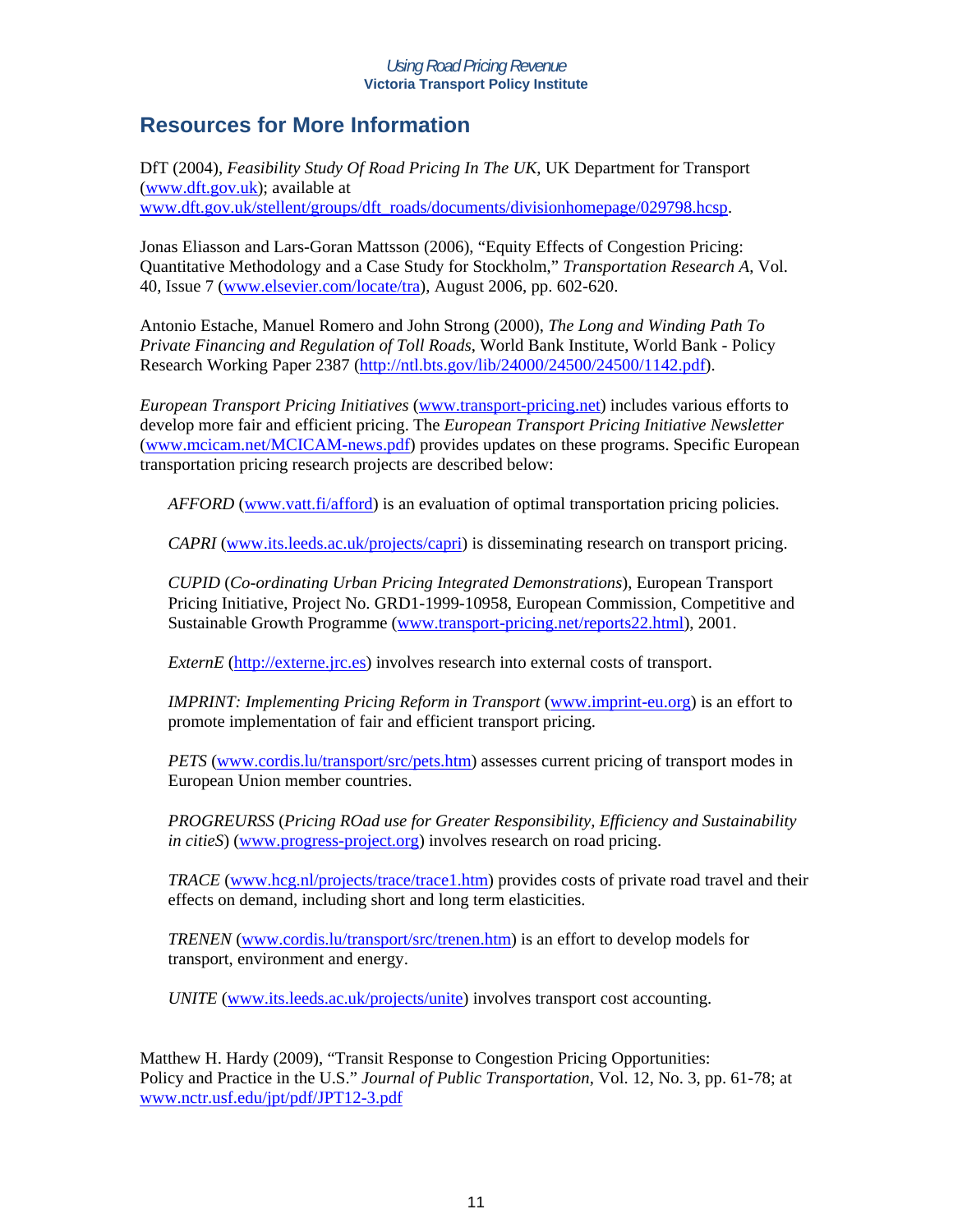# **Resources for More Information**

DfT (2004), *Feasibility Study Of Road Pricing In The UK*, UK Department for Transport (www.dft.gov.uk); available at www.dft.gov.uk/stellent/groups/dft\_roads/documents/divisionhomepage/029798.hcsp.

Jonas Eliasson and Lars-Goran Mattsson (2006), "Equity Effects of Congestion Pricing: Quantitative Methodology and a Case Study for Stockholm," *Transportation Research A*, Vol. 40, Issue 7 (www.elsevier.com/locate/tra), August 2006, pp. 602-620.

Antonio Estache, Manuel Romero and John Strong (2000), *The Long and Winding Path To Private Financing and Regulation of Toll Roads*, World Bank Institute, World Bank - Policy Research Working Paper 2387 (http://ntl.bts.gov/lib/24000/24500/24500/1142.pdf).

*European Transport Pricing Initiatives* (www.transport-pricing.net) includes various efforts to develop more fair and efficient pricing. The *European Transport Pricing Initiative Newsletter* (www.mcicam.net/MCICAM-news.pdf) provides updates on these programs. Specific European transportation pricing research projects are described below:

*AFFORD* (www.vatt.fi/afford) is an evaluation of optimal transportation pricing policies.

*CAPRI* (www.its.leeds.ac.uk/projects/capri) is disseminating research on transport pricing.

*CUPID* (*Co-ordinating Urban Pricing Integrated Demonstrations*), European Transport Pricing Initiative, Project No. GRD1-1999-10958, European Commission, Competitive and Sustainable Growth Programme (www.transport-pricing.net/reports22.html), 2001.

*ExternE* (http://externe.jrc.es) involves research into external costs of transport.

*IMPRINT: Implementing Pricing Reform in Transport* (www.imprint-eu.org) is an effort to promote implementation of fair and efficient transport pricing.

*PETS* (www.cordis.lu/transport/src/pets.htm) assesses current pricing of transport modes in European Union member countries.

*PROGREURSS* (*Pricing ROad use for Greater Responsibility, Efficiency and Sustainability in citieS*) (www.progress-project.org) involves research on road pricing.

*TRACE* (www.hcg.nl/projects/trace/trace1.htm) provides costs of private road travel and their effects on demand, including short and long term elasticities.

*TRENEN* (www.cordis.lu/transport/src/trenen.htm) is an effort to develop models for transport, environment and energy.

*UNITE* (www.its.leeds.ac.uk/projects/unite) involves transport cost accounting.

Matthew H. Hardy (2009), "Transit Response to Congestion Pricing Opportunities: Policy and Practice in the U.S." *Journal of Public Transportation*, Vol. 12, No. 3, pp. 61-78; at www.nctr.usf.edu/jpt/pdf/JPT12-3.pdf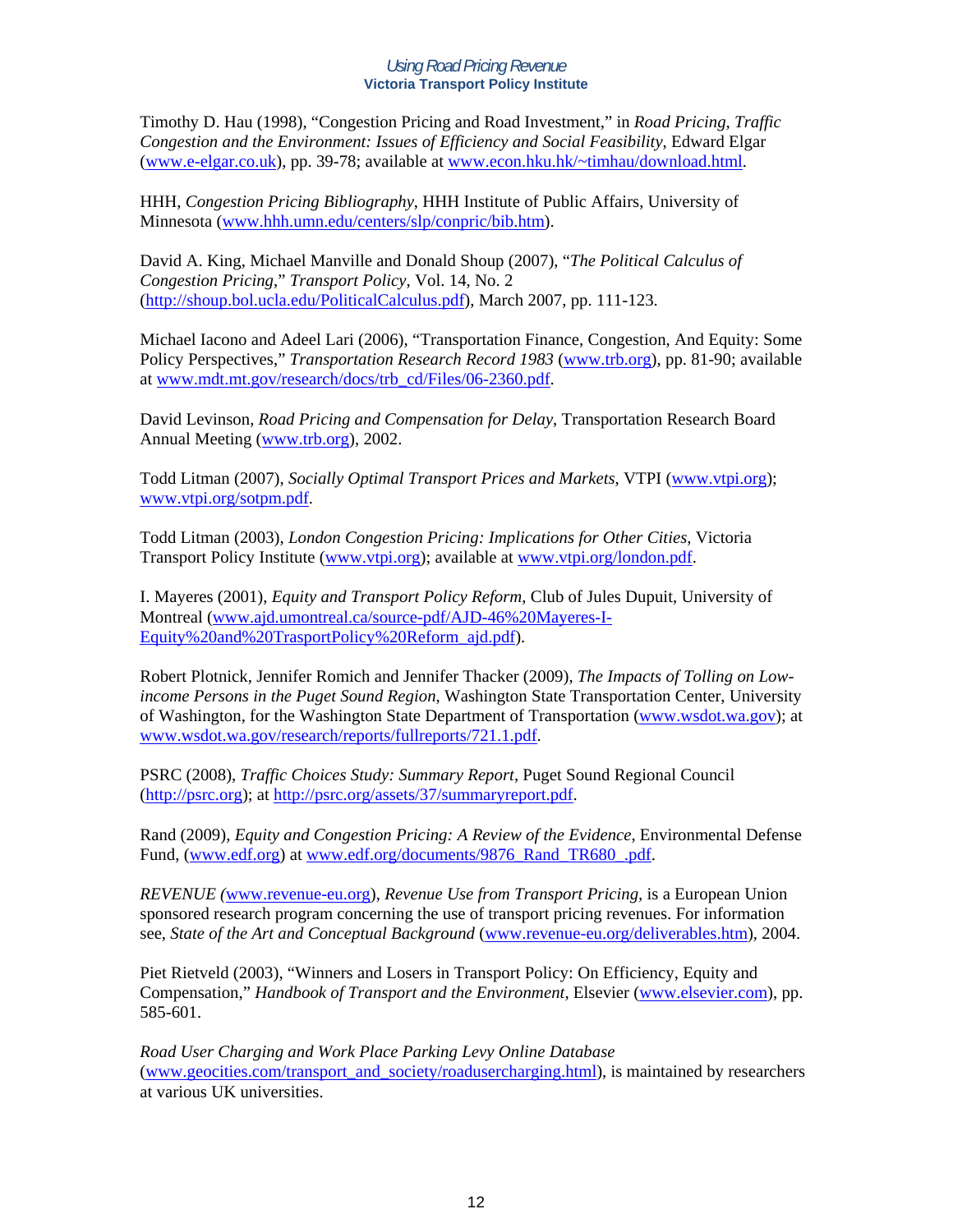Timothy D. Hau (1998), "Congestion Pricing and Road Investment," in *Road Pricing, Traffic Congestion and the Environment: Issues of Efficiency and Social Feasibility*, Edward Elgar (www.e-elgar.co.uk), pp. 39-78; available at www.econ.hku.hk/~timhau/download.html.

HHH, *Congestion Pricing Bibliography*, HHH Institute of Public Affairs, University of Minnesota (www.hhh.umn.edu/centers/slp/conpric/bib.htm).

David A. King, Michael Manville and Donald Shoup (2007), "*The Political Calculus of Congestion Pricing*," *Transport Policy*, Vol. 14, No. 2 (http://shoup.bol.ucla.edu/PoliticalCalculus.pdf), March 2007, pp. 111-123.

Michael Iacono and Adeel Lari (2006), "Transportation Finance, Congestion, And Equity: Some Policy Perspectives," *Transportation Research Record 1983* (www.trb.org), pp. 81-90; available at www.mdt.mt.gov/research/docs/trb\_cd/Files/06-2360.pdf.

David Levinson, *Road Pricing and Compensation for Delay*, Transportation Research Board Annual Meeting (www.trb.org), 2002.

Todd Litman (2007), *Socially Optimal Transport Prices and Markets*, VTPI (www.vtpi.org); www.vtpi.org/sotpm.pdf.

Todd Litman (2003), *London Congestion Pricing: Implications for Other Cities*, Victoria Transport Policy Institute (www.vtpi.org); available at www.vtpi.org/london.pdf.

I. Mayeres (2001), *Equity and Transport Policy Reform*, Club of Jules Dupuit, University of Montreal (www.ajd.umontreal.ca/source-pdf/AJD-46%20Mayeres-I-Equity%20and%20TrasportPolicy%20Reform\_ajd.pdf).

Robert Plotnick, Jennifer Romich and Jennifer Thacker (2009), *The Impacts of Tolling on Lowincome Persons in the Puget Sound Region*, Washington State Transportation Center, University of Washington, for the Washington State Department of Transportation (www.wsdot.wa.gov); at www.wsdot.wa.gov/research/reports/fullreports/721.1.pdf.

PSRC (2008), *Traffic Choices Study: Summary Report*, Puget Sound Regional Council (http://psrc.org); at http://psrc.org/assets/37/summaryreport.pdf.

Rand (2009), *Equity and Congestion Pricing: A Review of the Evidence*, Environmental Defense Fund, (www.edf.org) at www.edf.org/documents/9876 Rand TR680 .pdf.

*REVENUE (*www.revenue-eu.org), *Revenue Use from Transport Pricing,* is a European Union sponsored research program concerning the use of transport pricing revenues. For information see, *State of the Art and Conceptual Background* (www.revenue-eu.org/deliverables.htm), 2004.

Piet Rietveld (2003), "Winners and Losers in Transport Policy: On Efficiency, Equity and Compensation," *Handbook of Transport and the Environment*, Elsevier (www.elsevier.com), pp. 585-601.

*Road User Charging and Work Place Parking Levy Online Database* (www.geocities.com/transport\_and\_society/roadusercharging.html), is maintained by researchers at various UK universities.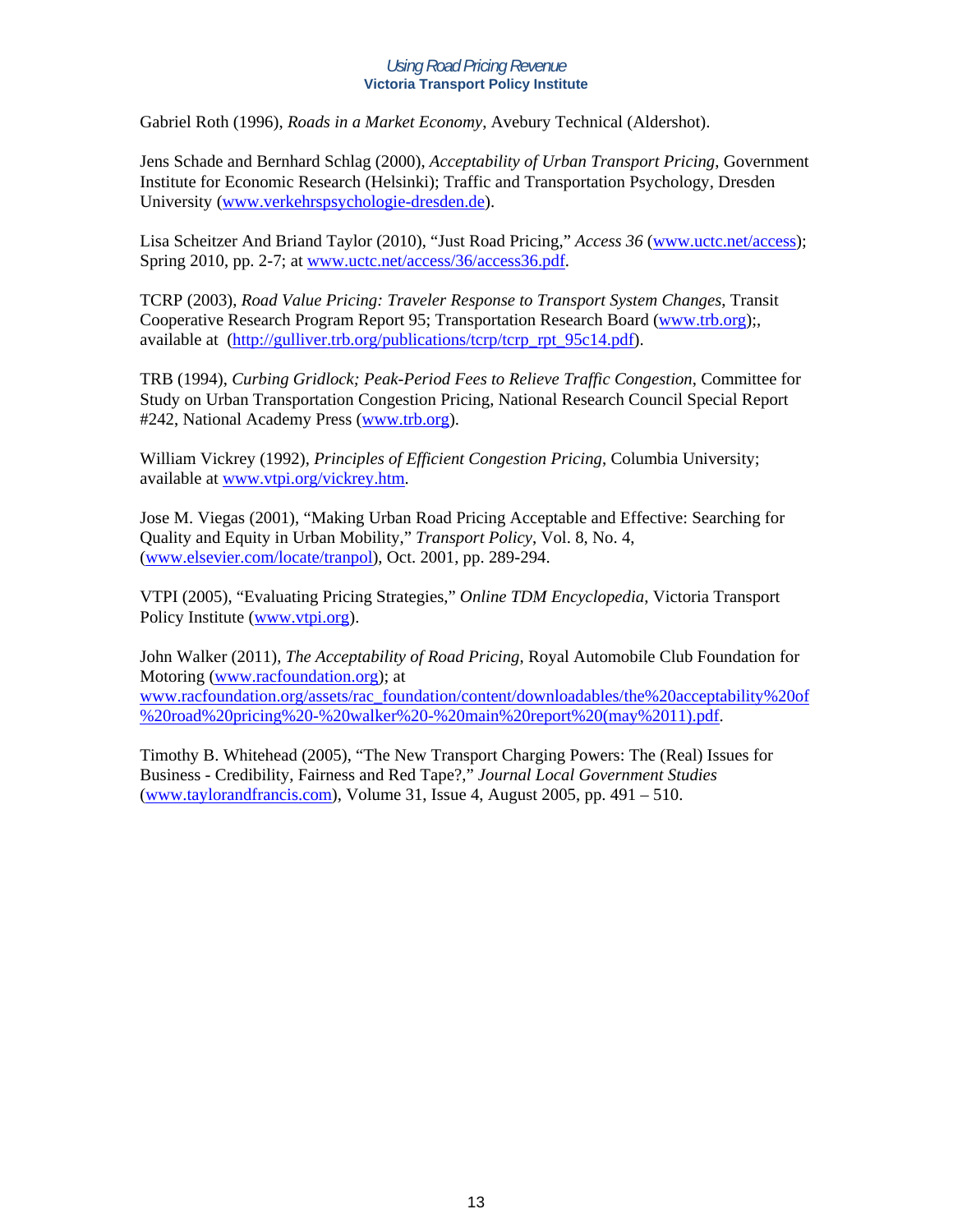Gabriel Roth (1996), *Roads in a Market Economy*, Avebury Technical (Aldershot).

Jens Schade and Bernhard Schlag (2000), *Acceptability of Urban Transport Pricing*, Government Institute for Economic Research (Helsinki); Traffic and Transportation Psychology, Dresden University (www.verkehrspsychologie-dresden.de).

Lisa Scheitzer And Briand Taylor (2010), "Just Road Pricing," *Access 36* (www.uctc.net/access); Spring 2010, pp. 2-7; at www.uctc.net/access/36/access36.pdf.

TCRP (2003), *Road Value Pricing: Traveler Response to Transport System Changes*, Transit Cooperative Research Program Report 95; Transportation Research Board (www.trb.org);, available at (http://gulliver.trb.org/publications/tcrp/tcrp\_rpt\_95c14.pdf).

TRB (1994), *Curbing Gridlock; Peak-Period Fees to Relieve Traffic Congestion*, Committee for Study on Urban Transportation Congestion Pricing, National Research Council Special Report #242, National Academy Press (www.trb.org).

William Vickrey (1992), *Principles of Efficient Congestion Pricing*, Columbia University; available at www.vtpi.org/vickrey.htm.

Jose M. Viegas (2001), "Making Urban Road Pricing Acceptable and Effective: Searching for Quality and Equity in Urban Mobility," *Transport Policy*, Vol. 8, No. 4, (www.elsevier.com/locate/tranpol), Oct. 2001, pp. 289-294.

VTPI (2005), "Evaluating Pricing Strategies," *Online TDM Encyclopedia*, Victoria Transport Policy Institute (www.vtpi.org).

John Walker (2011), *The Acceptability of Road Pricing*, Royal Automobile Club Foundation for Motoring (www.racfoundation.org); at www.racfoundation.org/assets/rac\_foundation/content/downloadables/the%20acceptability%20of %20road%20pricing%20-%20walker%20-%20main%20report%20(may%2011).pdf.

Timothy B. Whitehead (2005), "The New Transport Charging Powers: The (Real) Issues for Business - Credibility, Fairness and Red Tape?," *Journal Local Government Studies* (www.taylorandfrancis.com), Volume 31, Issue 4, August 2005, pp. 491 – 510.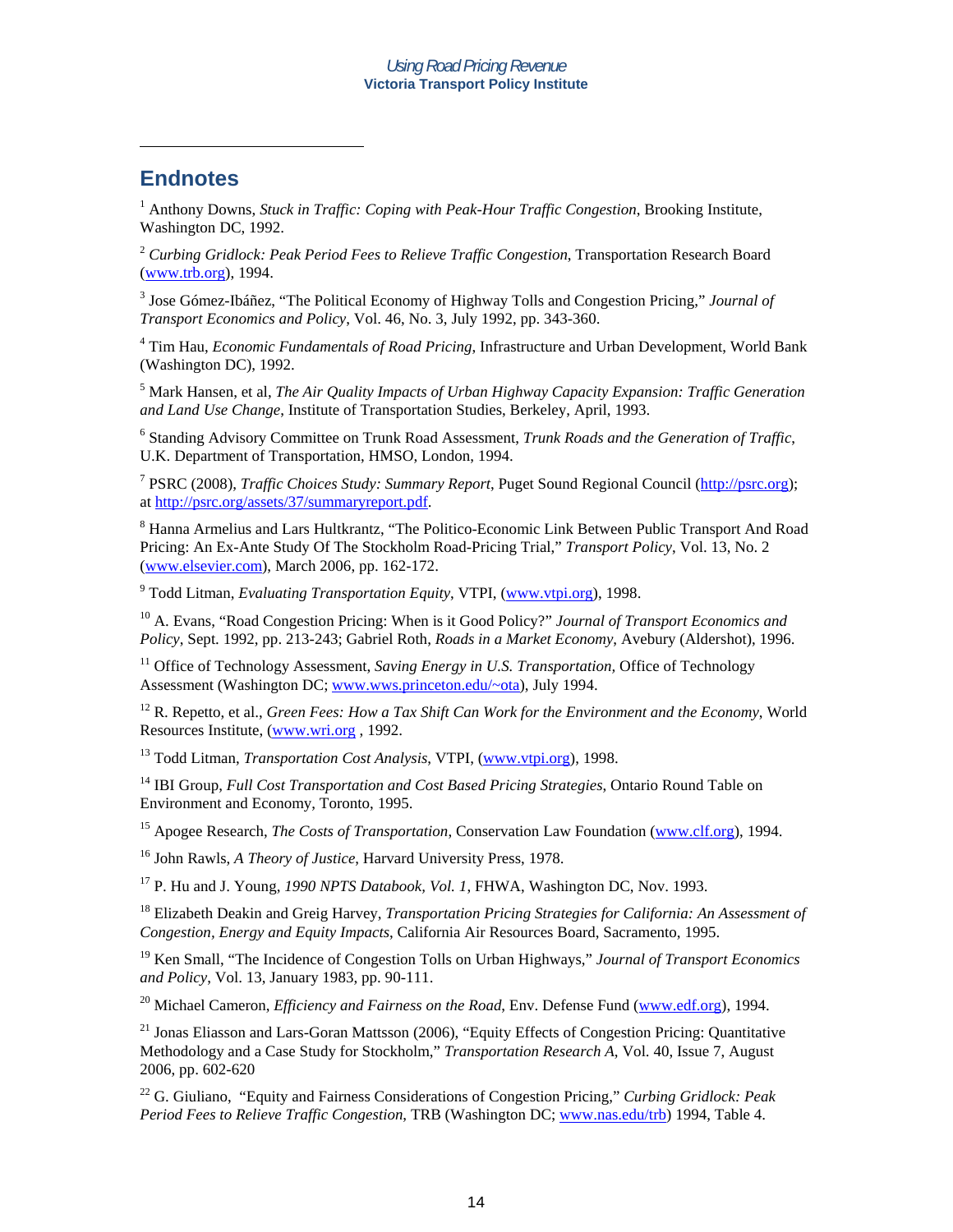### **Endnotes**

 $\overline{a}$ 

<sup>1</sup> Anthony Downs, *Stuck in Traffic: Coping with Peak-Hour Traffic Congestion*, Brooking Institute, Washington DC, 1992.

<sup>2</sup> *Curbing Gridlock: Peak Period Fees to Relieve Traffic Congestion*, Transportation Research Board (www.trb.org), 1994.

3 Jose Gómez-Ibáñez, "The Political Economy of Highway Tolls and Congestion Pricing," *Journal of Transport Economics and Policy*, Vol. 46, No. 3, July 1992, pp. 343-360.

4 Tim Hau, *Economic Fundamentals of Road Pricing*, Infrastructure and Urban Development, World Bank (Washington DC), 1992.

5 Mark Hansen, et al, *The Air Quality Impacts of Urban Highway Capacity Expansion: Traffic Generation and Land Use Change*, Institute of Transportation Studies, Berkeley, April, 1993.

6 Standing Advisory Committee on Trunk Road Assessment, *Trunk Roads and the Generation of Traffic*, U.K. Department of Transportation, HMSO, London, 1994.

7 PSRC (2008), *Traffic Choices Study: Summary Report*, Puget Sound Regional Council (http://psrc.org); at http://psrc.org/assets/37/summaryreport.pdf.

<sup>8</sup> Hanna Armelius and Lars Hultkrantz, "The Politico-Economic Link Between Public Transport And Road Pricing: An Ex-Ante Study Of The Stockholm Road-Pricing Trial," *Transport Policy*, Vol. 13, No. 2 (www.elsevier.com), March 2006, pp. 162-172.

<sup>9</sup> Todd Litman, *Evaluating Transportation Equity*, VTPI, (www.vtpi.org), 1998.

10 A. Evans, "Road Congestion Pricing: When is it Good Policy?" *Journal of Transport Economics and Policy*, Sept. 1992, pp. 213-243; Gabriel Roth, *Roads in a Market Economy*, Avebury (Aldershot), 1996.

<sup>11</sup> Office of Technology Assessment, *Saving Energy in U.S. Transportation*, Office of Technology Assessment (Washington DC; www.wws.princeton.edu/~ota), July 1994.

<sup>12</sup> R. Repetto, et al., *Green Fees: How a Tax Shift Can Work for the Environment and the Economy*, World Resources Institute, (www.wri.org , 1992.

13 Todd Litman, *Transportation Cost Analysis*, VTPI, (www.vtpi.org), 1998.

14 IBI Group, *Full Cost Transportation and Cost Based Pricing Strategies*, Ontario Round Table on Environment and Economy, Toronto, 1995.

15 Apogee Research, *The Costs of Transportation*, Conservation Law Foundation (www.clf.org), 1994.

16 John Rawls, *A Theory of Justice*, Harvard University Press, 1978.

17 P. Hu and J. Young, *1990 NPTS Databook, Vol. 1*, FHWA, Washington DC, Nov. 1993.

18 Elizabeth Deakin and Greig Harvey, *Transportation Pricing Strategies for California: An Assessment of Congestion, Energy and Equity Impacts*, California Air Resources Board, Sacramento, 1995.

19 Ken Small, "The Incidence of Congestion Tolls on Urban Highways," *Journal of Transport Economics and Policy*, Vol. 13, January 1983, pp. 90-111.

20 Michael Cameron, *Efficiency and Fairness on the Road*, Env. Defense Fund (www.edf.org), 1994.

<sup>21</sup> Jonas Eliasson and Lars-Goran Mattsson (2006), "Equity Effects of Congestion Pricing: Quantitative Methodology and a Case Study for Stockholm," *Transportation Research A*, Vol. 40, Issue 7, August 2006, pp. 602-620

22 G. Giuliano, "Equity and Fairness Considerations of Congestion Pricing," *Curbing Gridlock: Peak Period Fees to Relieve Traffic Congestion*, TRB (Washington DC; www.nas.edu/trb) 1994, Table 4.